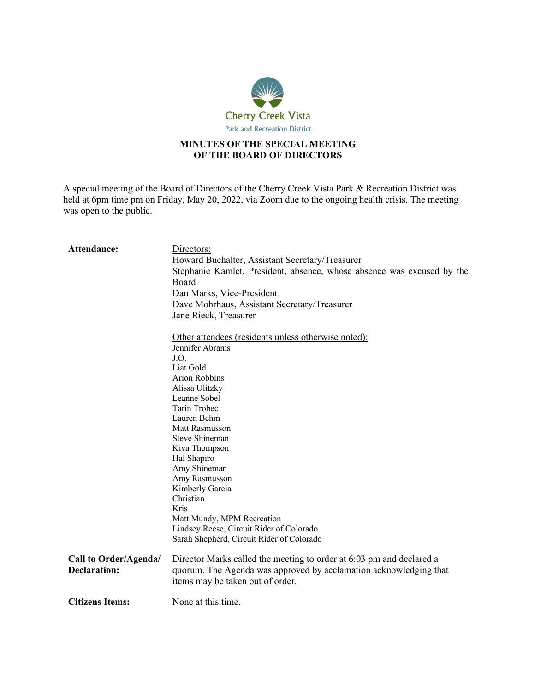

## **MINUTES OF THE SPECIAL MEETING OF THE BOARD OF DIRECTORS**

A special meeting of the Board of Directors of the Cherry Creek Vista Park & Recreation District was held at 6pm time pm on Friday, May 20, 2022, via Zoom due to the ongoing health crisis. The meeting was open to the public.

| <b>Attendance:</b>     | Directors:                                                             |
|------------------------|------------------------------------------------------------------------|
|                        | Howard Buchalter, Assistant Secretary/Treasurer                        |
|                        | Stephanie Kamlet, President, absence, whose absence was excused by the |
|                        | Board                                                                  |
|                        | Dan Marks, Vice-President                                              |
|                        | Dave Mohrhaus, Assistant Secretary/Treasurer                           |
|                        | Jane Rieck, Treasurer                                                  |
|                        |                                                                        |
|                        | Other attendees (residents unless otherwise noted):                    |
|                        | Jennifer Abrams                                                        |
|                        | J.O.                                                                   |
|                        | Liat Gold                                                              |
|                        | Arion Robbins                                                          |
|                        | Alissa Ulitzky                                                         |
|                        | Leanne Sobel                                                           |
|                        | Tarin Trobec                                                           |
|                        | Lauren Behm                                                            |
|                        | <b>Matt Rasmusson</b>                                                  |
|                        | Steve Shineman                                                         |
|                        | Kiva Thompson                                                          |
|                        | Hal Shapiro                                                            |
|                        | Amy Shineman                                                           |
|                        | Amy Rasmusson                                                          |
|                        | Kimberly Garcia                                                        |
|                        | Christian                                                              |
|                        | Kris                                                                   |
|                        | Matt Mundy, MPM Recreation                                             |
|                        | Lindsey Reese, Circuit Rider of Colorado                               |
|                        | Sarah Shepherd, Circuit Rider of Colorado                              |
| Call to Order/Agenda/  | Director Marks called the meeting to order at 6:03 pm and declared a   |
| <b>Declaration:</b>    | quorum. The Agenda was approved by acclamation acknowledging that      |
|                        |                                                                        |
|                        | items may be taken out of order.                                       |
| <b>Citizens Items:</b> | None at this time.                                                     |
|                        |                                                                        |